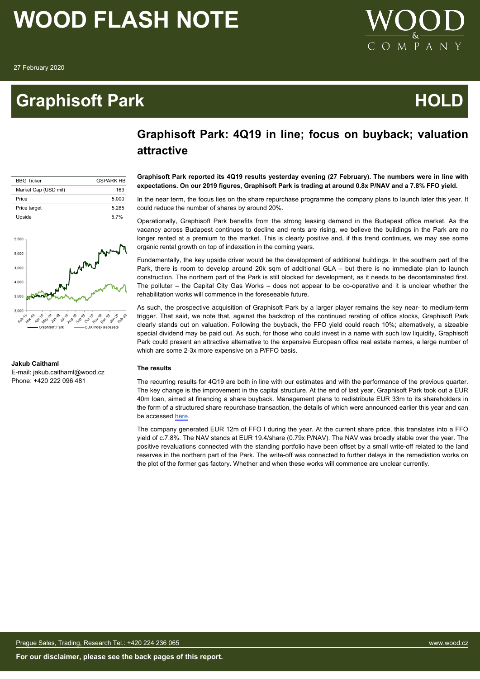## **Graphisoft Park Contract Contract Contract Contract Contract Contract Contract Contract Contract Contract Contract Contract Contract Contract Contract Contract Contract Contract Contract Contract Contract Contract Contrac**



## **Graphisoft Park: 4Q19 in line; focus on buyback; valuation attractive**

| <b>BBG Ticker</b>    | <b>GSPARK HR</b> |
|----------------------|------------------|
| Market Cap (USD mil) | 163              |
| Price                | 5.000            |
| Price target         | 5.285            |
| Upside               | 5.7%             |



## **Jakub Caithaml**

E-mail: jakub.caithaml@wood.cz Phone: +420 222 096 481

**Graphisoft Park reported its 4Q19 results yesterday evening (27 February). The numbers were in line with expectations. On our 2019 figures, Graphisoft Park is trading at around 0.8x P/NAV and a 7.8% FFO yield.**

In the near term, the focus lies on the share repurchase programme the company plans to launch later this year. It could reduce the number of shares by around 20%.

Operationally, Graphisoft Park benefits from the strong leasing demand in the Budapest office market. As the vacancy across Budapest continues to decline and rents are rising, we believe the buildings in the Park are no longer rented at a premium to the market. This is clearly positive and, if this trend continues, we may see some organic rental growth on top of indexation in the coming years.

Fundamentally, the key upside driver would be the development of additional buildings. In the southern part of the Park, there is room to develop around 20k sqm of additional GLA – but there is no immediate plan to launch construction. The northern part of the Park is still blocked for development, as it needs to be decontaminated first. The polluter – the Capital City Gas Works – does not appear to be co-operative and it is unclear whether the rehabilitation works will commence in the foreseeable future.

As such, the prospective acquisition of Graphisoft Park by a larger player remains the key near- to medium-term trigger. That said, we note that, against the backdrop of the continued rerating of office stocks, Graphisoft Park clearly stands out on valuation. Following the buyback, the FFO yield could reach 10%; alternatively, a sizeable special dividend may be paid out. As such, for those who could invest in a name with such low liquidity, Graphisoft Park could present an attractive alternative to the expensive European office real estate names, a large number of which are some 2-3x more expensive on a P/FFO basis.

## **The results**

The recurring results for 4Q19 are both in line with our estimates and with the performance of the previous quarter. The key change is the improvement in the capital structure. At the end of last year, Graphisoft Park took out a EUR 40m loan, aimed at financing a share buyback. Management plans to redistribute EUR 33m to its shareholders in the form of a structured share repurchase transaction, the details of which were announced earlier this year and can be accessed [here](http://www.graphisoftpark.com/system/files/GSPARK_Extraordinary%20information_2020.02.06.pdf).

The company generated EUR 12m of FFO I during the year. At the current share price, this translates into a FFO yield of c.7.8%. The NAV stands at EUR 19.4/share (0.79x P/NAV). The NAV was broadly stable over the year. The positive revaluations connected with the standing portfolio have been offset by a small write-off related to the land reserves in the northern part of the Park. The write-off was connected to further delays in the remediation works on the plot of the former gas factory. Whether and when these works will commence are unclear currently.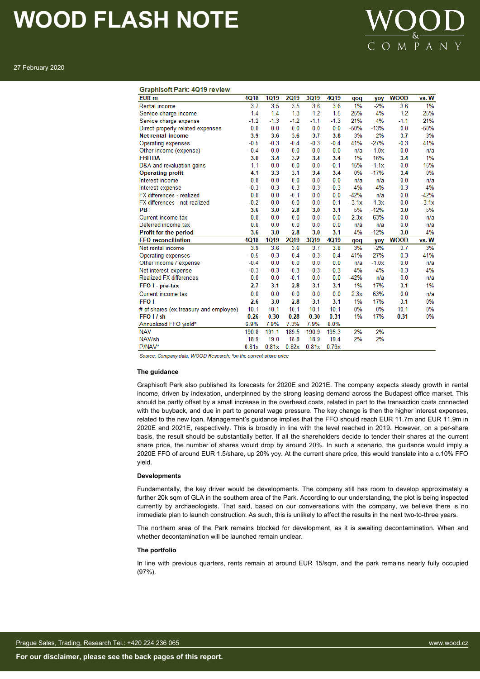

27 February 2020

### **Graphisoft Park: 4019 review**

| EUR m                                  | 4Q18   | <b>1Q19</b> | <b>2Q19</b> | 3Q19   | 4Q19   | qoq     | yoy     | <b>WOOD</b> | vs. W   |
|----------------------------------------|--------|-------------|-------------|--------|--------|---------|---------|-------------|---------|
| Rental income                          | 3.7    | 3.5         | 3.5         | 3.6    | 3.6    | 1%      | $-2%$   | 3.6         | 1%      |
| Service charge income                  | 1.4    | 1.4         | 1.3         | 1.2    | 1.5    | 25%     | 4%      | 1.2         | 25%     |
| Service charge expense                 | $-1.2$ | $-1.3$      | $-1.2$      | $-1.1$ | $-1.3$ | 21%     | 4%      | $-1.1$      | 21%     |
| Direct property related expenses       | 0.0    | 0.0         | 0.0         | 0.0    | 0.0    | $-50%$  | $-13%$  | 0.0         | $-50%$  |
| Net rental income                      | 3.9    | 3.6         | 3.6         | 3.7    | 3.8    | 3%      | $-2%$   | 3.7         | 3%      |
| Operating expenses                     | $-0.5$ | $-0.3$      | $-0.4$      | $-0.3$ | $-0.4$ | 41%     | $-27%$  | $-0.3$      | 41%     |
| Other income (expense)                 | $-0.4$ | 0.0         | 0.0         | 0.0    | 0.0    | n/a     | $-1.0x$ | 0.0         | n/a     |
| EBITDA                                 | 3.0    | 3.4         | 3.2         | 3.4    | 3.4    | 1%      | 16%     | 3.4         | 1%      |
| D&A and revaluation gains              | 1.1    | 0.0         | 0.0         | 0.0    | $-0.1$ | 15%     | $-1.1x$ | 0.0         | 15%     |
| <b>Operating profit</b>                | 4.1    | 3.3         | 3.1         | 3.4    | 3.4    | $0\%$   | $-17%$  | 3.4         | 0%      |
| Interest income                        | 0.0    | 0.0         | 0.0         | 0.0    | 0.0    | n/a     | n/a     | 0.0         | n/a     |
| Interest expense                       | $-0.3$ | $-0.3$      | $-0.3$      | $-0.3$ | $-0.3$ | $-4%$   | $-4%$   | $-0.3$      | $-4%$   |
| FX differences - realized              | 0.0    | 0.0         | $-0.1$      | 0.0    | 0.0    | $-42%$  | n/a     | 0.0         | $-42%$  |
| FX differences - not realized          | $-0.2$ | 0.0         | 0.0         | 0.0    | 0.1    | $-3.1x$ | $-1.3x$ | 0.0         | $-3.1x$ |
| PBT                                    | 3.6    | 3.0         | 2.8         | 3.0    | 3.1    | 5%      | $-12%$  | 3.0         | 5%      |
| Current income tax                     | 0.0    | 0.0         | 0.0         | 0.0    | 0.0    | 2.3x    | 63%     | 0.0         | n/a     |
| Deferred income tax                    | 0.0    | 0.0         | 0.0         | 0.0    | 0.0    | n/a     | n/a     | 0.0         | n/a     |
| Profit for the period                  | 3.6    | 3.0         | 2.8         | 3.0    | 3.1    | 4%      | $-12%$  | 3.0         | 4%      |
| <b>FFO</b> reconciliation              | 4Q18   | <b>1Q19</b> | <b>2Q19</b> | 3Q19   | 4Q19   | qoq     | yoy     | <b>WOOD</b> | vs. W   |
| Net rental income                      | 3.9    | 3.6         | 3.6         | 3.7    | 3.8    | 3%      | $-2%$   | 3.7         | 3%      |
| Operating expenses                     | $-0.5$ | $-0.3$      | $-0.4$      | $-0.3$ | $-0.4$ | 41%     | $-27%$  | $-0.3$      | 41%     |
| Other income / expense                 | $-0.4$ | 0.0         | 0.0         | 0.0    | 0.0    | n/a     | $-1.0x$ | 0.0         | n/a     |
| Net interest expense                   | $-0.3$ | $-0.3$      | $-0.3$      | $-0.3$ | $-0.3$ | $-4%$   | $-4%$   | $-0.3$      | $-4%$   |
| <b>Realized FX differences</b>         | 0.0    | 0.0         | $-0.1$      | 0.0    | 0.0    | $-42%$  | n/a     | 0.0         | n/a     |
| FFO I - pre-tax                        | 2.7    | 3.1         | 2.8         | 3.1    | 3.1    | 1%      | 17%     | 3.1         | 1%      |
| Current income tax                     | 0.0    | 0.0         | 0.0         | 0.0    | 0.0    | 2.3x    | 63%     | 0.0         | n/a     |
| <b>FFO I</b>                           | 2.6    | 3.0         | 2.8         | 3.1    | 3.1    | 1%      | 17%     | 3.1         | 0%      |
| # of shares (ex.treasury and employee) | 10.1   | 10.1        | 10.1        | 10.1   | 10.1   | 0%      | 0%      | 10.1        | 0%      |
| FFO I / sh                             | 0.26   | 0.30        | 0.28        | 0.30   | 0.31   | 1%      | 17%     | 0.31        | 0%      |
| Annualized FFO vield*                  | 6.9%   | 7.9%        | 7.3%        | 7.9%   | 8.0%   |         |         |             |         |
| NAV                                    | 190.8  | 191.1       | 189.5       | 190.9  | 195.3  | 2%      | 2%      |             |         |
| NAV/sh                                 | 18.9   | 19.0        | 18.8        | 18.9   | 19.4   | 2%      | 2%      |             |         |
| P/NAV*                                 | 0.81x  | 0.81x       | 0.82x       | 0.81x  | 0.79x  |         |         |             |         |
|                                        |        |             |             |        |        |         |         |             |         |

Source: Company data, WOOD Research: \*on the current share price

### **The guidance**

Graphisoft Park also published its forecasts for 2020E and 2021E. The company expects steady growth in rental income, driven by indexation, underpinned by the strong leasing demand across the Budapest office market. This should be partly offset by a small increase in the overhead costs, related in part to the transaction costs connected with the buyback, and due in part to general wage pressure. The key change is then the higher interest expenses, related to the new loan. Management's guidance implies that the FFO should reach EUR 11.7m and EUR 11.9m in 2020E and 2021E, respectively. This is broadly in line with the level reached in 2019. However, on a per-share basis, the result should be substantially better. If all the shareholders decide to tender their shares at the current share price, the number of shares would drop by around 20%. In such a scenario, the guidance would imply a 2020E FFO of around EUR 1.5/share, up 20% yoy. At the current share price, this would translate into a c.10% FFO yield.

## **Developments**

Fundamentally, the key driver would be developments. The company still has room to develop approximately a further 20k sqm of GLA in the southern area of the Park. According to our understanding, the plot is being inspected currently by archaeologists. That said, based on our conversations with the company, we believe there is no immediate plan to launch construction. As such, this is unlikely to affect the results in the next two-to-three years.

The northern area of the Park remains blocked for development, as it is awaiting decontamination. When and whether decontamination will be launched remain unclear.

### **The portfolio**

In line with previous quarters, rents remain at around EUR 15/sqm, and the park remains nearly fully occupied (97%).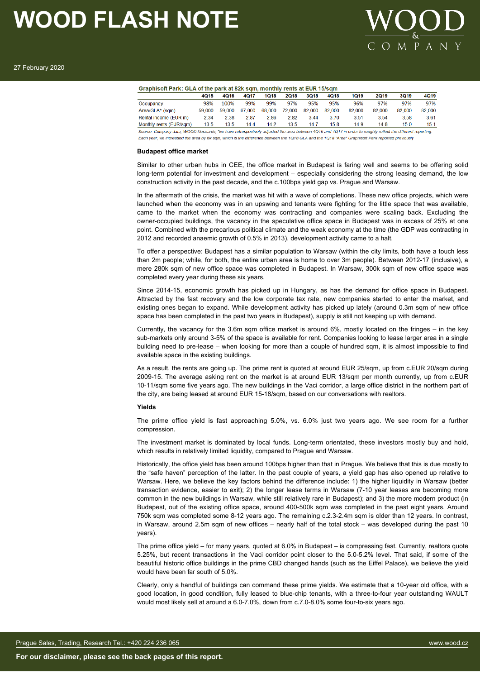

|                         | 4015   | 4016   | 4017   | 1018   | 2018   | 3018   | 4018   | 1019   | 2019   | 3019   | 4Q19   |
|-------------------------|--------|--------|--------|--------|--------|--------|--------|--------|--------|--------|--------|
| Occupancy               | 98%    | 100%   | 99%    | 99%    | 97%    | 95%    | 95%    | 96%    | 97%    | 97%    | 97%    |
| Area/GLA* (sam)         | 59 000 | 59 000 | 67.000 | 68,000 | 72.000 | 82.000 | 82 000 | 82 000 | 82 000 | 82 000 | 82.000 |
| Rental income (EUR m)   | 2.34   | 2.38   | 2.87   | 2.86   | 2.82   | 3.44   | 3.70   | 3.51   | 3.54   | 3.58   | 3.61   |
| Monthly rents (EUR/sqm) | 13.5   | 13.5   | 14.4   | 14.2   | 13.5   | 14.7   | 15.8   | 14.9   | 14.8   | 15.0   | 15.1   |

Each year, we increased the area by 6k sqm, which is the difference between the 1Q18 GLA and the 1Q18 "Area" Graphisoft Park reported previously

## **Budapest office market**

Similar to other urban hubs in CEE, the office market in Budapest is faring well and seems to be offering solid long-term potential for investment and development – especially considering the strong leasing demand, the low construction activity in the past decade, and the c.100bps yield gap vs. Prague and Warsaw.

In the aftermath of the crisis, the market was hit with a wave of completions. These new office projects, which were launched when the economy was in an upswing and tenants were fighting for the little space that was available, came to the market when the economy was contracting and companies were scaling back. Excluding the owner-occupied buildings, the vacancy in the speculative office space in Budapest was in excess of 25% at one point. Combined with the precarious political climate and the weak economy at the time (the GDP was contracting in 2012 and recorded anaemic growth of 0.5% in 2013), development activity came to a halt.

To offer a perspective: Budapest has a similar population to Warsaw (within the city limits, both have a touch less than 2m people; while, for both, the entire urban area is home to over 3m people). Between 2012-17 (inclusive), a mere 280k sqm of new office space was completed in Budapest. In Warsaw, 300k sqm of new office space was completed every year during these six years.

Since 2014-15, economic growth has picked up in Hungary, as has the demand for office space in Budapest. Attracted by the fast recovery and the low corporate tax rate, new companies started to enter the market, and existing ones began to expand. While development activity has picked up lately (around 0.3m sqm of new office space has been completed in the past two years in Budapest), supply is still not keeping up with demand.

Currently, the vacancy for the 3.6m sqm office market is around 6%, mostly located on the fringes – in the key sub-markets only around 3-5% of the space is available for rent. Companies looking to lease larger area in a single building need to pre-lease – when looking for more than a couple of hundred sqm, it is almost impossible to find available space in the existing buildings.

As a result, the rents are going up. The prime rent is quoted at around EUR 25/sqm, up from c.EUR 20/sqm during 2009-15. The average asking rent on the market is at around EUR 13/sqm per month currently, up from c.EUR 10-11/sqm some five years ago. The new buildings in the Vaci corridor, a large office district in the northern part of the city, are being leased at around EUR 15-18/sqm, based on our conversations with realtors.

### **Yields**

The prime office yield is fast approaching 5.0%, vs. 6.0% just two years ago. We see room for a further compression.

The investment market is dominated by local funds. Long-term orientated, these investors mostly buy and hold, which results in relatively limited liquidity, compared to Prague and Warsaw.

Historically, the office yield has been around 100bps higher than that in Prague. We believe that this is due mostly to the "safe haven" perception of the latter. In the past couple of years, a yield gap has also opened up relative to Warsaw. Here, we believe the key factors behind the difference include: 1) the higher liquidity in Warsaw (better transaction evidence, easier to exit); 2) the longer lease terms in Warsaw (7-10 year leases are becoming more common in the new buildings in Warsaw, while still relatively rare in Budapest); and 3) the more modern product (in Budapest, out of the existing office space, around 400-500k sqm was completed in the past eight years. Around 750k sqm was completed some 8-12 years ago. The remaining c.2.3-2.4m sqm is older than 12 years. In contrast, in Warsaw, around 2.5m sqm of new offices – nearly half of the total stock – was developed during the past 10 years).

The prime office yield – for many years, quoted at 6.0% in Budapest – is compressing fast. Currently, realtors quote 5.25%, but recent transactions in the Vaci corridor point closer to the 5.0-5.2% level. That said, if some of the beautiful historic office buildings in the prime CBD changed hands (such as the Eiffel Palace), we believe the yield would have been far south of 5.0%.

Clearly, only a handful of buildings can command these prime yields. We estimate that a 10-year old office, with a good location, in good condition, fully leased to blue-chip tenants, with a three-to-four year outstanding WAULT would most likely sell at around a 6.0-7.0%, down from c.7.0-8.0% some four-to-six years ago.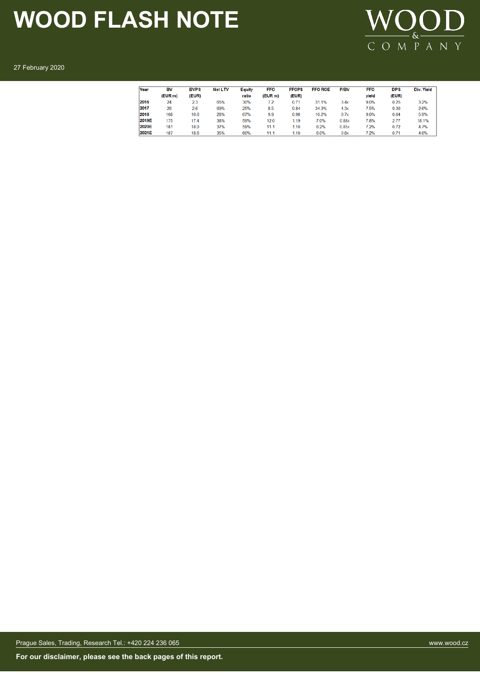

27 February 2020

| Year  | BV      | <b>BVPS</b> | Net LTV | Equity | <b>FFO</b> | <b>FFOPS</b> | <b>FFO ROE</b> | P/BV  | <b>FFO</b> | <b>DPS</b> | Div. Yield |
|-------|---------|-------------|---------|--------|------------|--------------|----------------|-------|------------|------------|------------|
|       | (EUR m) | (EUR)       |         | ratio  | (EUR m)    | (EUR)        |                |       | yield      | (EUR)      |            |
| 2016  | 24      | 2.3         | 65%     | 30%    | 7.2        | 0.71         | 31.1%          | 3.4x  | 9.0%       | 0.25       | 3.2%       |
| 2017  | 26      | 2.6         | 69%     | 25%    | 8.5        | 0.84         | 34.3%          | 4.3x  | 7.5%       | 0.30       | 2.6%       |
| 2018  | 168     | 16.6        | 28%     | 67%    | 9.9        | 0.98         | 10.2%          | 0.7x  | 9.0%       | 0.64       | 5.9%       |
| 2019E | 175     | 17.4        | 38%     | 59%    | 12.0       | 1.19         | 7.0%           | 0.88x | 7.8%       | 2.77       | 18.1%      |
| 2020E | 181     | 18.0        | 37%     | 59%    | 11.1       | 1.10         | 6.2%           | 0.85x | 7.2%       | 0.72       | 4.7%       |
| 2021E | 187     | 18.6        | 35%     | 60%    | 11.1       | 1.10         | 6.0%           | 0.8x  | 7.2%       | 0.71       | 4.6%       |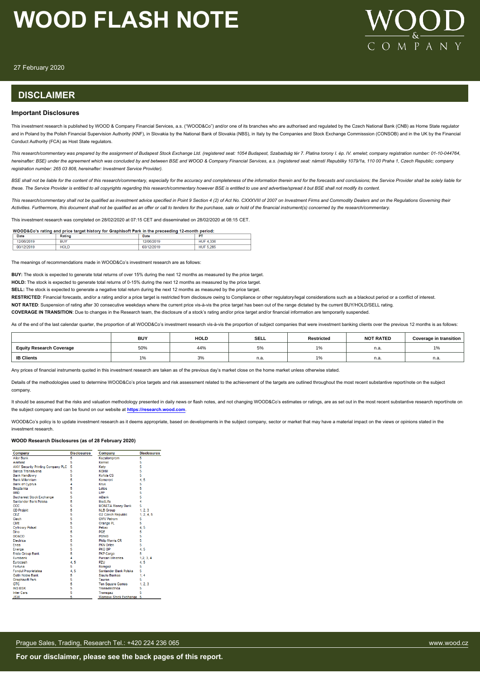

27 February 2020

## **DISCLAIMER**

## **Important Disclosures**

This investment research is published by WOOD & Company Financial Services, a.s. ("WOOD&Co") and/or one of its branches who are authorised and regulated by the Czech National Bank (CNB) as Home State regulator and in Poland by the Polish Financial Supervision Authority (KNF), in Slovakia by the National Bank of Slovakia (NBS), in Italy by the Companies and Stock Exchange Commisssion (CONSOB) and in the UK by the Financial Conduct Authority (FCA) as Host State regulators.

*This research/commentary was prepared by the assignment of Budapest Stock Exchange Ltd. (registered seat: 1054 Budapest, Szabadság tér 7. Platina torony I. ép. IV. emelet; company registration number: 01-10-044764, hereinafter: BSE) under the agreement which was concluded by and between BSE and WOOD & Company Financial Services, a.s. (registered seat: námstí Republiky 1079/1a, 110 00 Praha 1, Czech Republic; company registration number: 265 03 808, hereinafter: Investment Service Provider).*

BSE shall not be liable for the content of this research/commentary, especially for the accuracy and completeness of the information therein and for the forecasts and conclusions; the Service Provider shall be solely liabl *these. The Service Provider is entitled to all copyrights regarding this research/commentary however BSE is entitled to use and advertise/spread it but BSE shall not modify its content.*

*This research/commentary shall not be qualified as investment advice specified in Point 9 Section 4 (2) of Act No. CXXXVIII of 2007 on Investment Firms and Commodity Dealers and on the Regulations Governing their Activities. Furthermore, this document shall not be qualified as an offer or call to tenders for the purchase, sale or hold of the financial instrument(s) concerned by the research/commentary.*

This investment research was completed on 28/02/2020 at 07:15 CET and disseminated on 28/02/2020 at 08:15 CET.

| WOOD&Co's rating and price target history for Graphisoft Park in the preceeding 12-month period: |  |
|--------------------------------------------------------------------------------------------------|--|
|                                                                                                  |  |

| Date       | Rating      | Date           | $\sim$              |
|------------|-------------|----------------|---------------------|
| 12/06/2019 | <b>BUY</b>  | 12/06/2019     | 4.336<br><b>HUF</b> |
| 03/12/2019 | <b>HOLD</b> | 12/2019<br>03/ | <b>HUF 5.285</b>    |

The meanings of recommendations made in WOOD&Co's investment research are as follows:

**BUY:** The stock is expected to generate total returns of over 15% during the next 12 months as measured by the price target.

**HOLD:** The stock is expected to generate total returns of 0-15% during the next 12 months as measured by the price target.

**SELL:** The stock is expected to generate a negative total return during the next 12 months as measured by the price target.

RESTRICTED: Financial forecasts, and/or a rating and/or a price target is restricted from disclosure owing to Compliance or other regulatory/legal considerations such as a blackout period or a conflict of interest.

**NOT RATED**: Suspension of rating after 30 consecutive weekdays where the current price vis-à-vis the price target has been out of the range dictated by the current BUY/HOLD/SELL rating.

**COVERAGE IN TRANSITION**: Due to changes in the Research team, the disclosure of a stock's rating and/or price target and/or financial information are temporarily suspended.

As of the end of the last calendar quarter, the proportion of all WOOD&Co's investment research vis-à-vis the proportion of subject companies that were investment banking clients over the previous 12 months is as follows:

|                                 | <b>BUY</b> | <b>HOLD</b> | <b>SELL</b> | Restricted             | <b>NOT RATED</b> | <b>Coverage in transition</b> |
|---------------------------------|------------|-------------|-------------|------------------------|------------------|-------------------------------|
| <b>Equity Research Coverage</b> | 50%        | 44%         | ◡ /         | $\overline{a}$<br>l 7o | n.a.             | 1%                            |
| <b>IB Clients</b>               |            | 3%          | n.a.        | 4C                     | n.a.             | n.a.                          |

Any prices of financial instruments quoted in this investment research are taken as of the previous day's market close on the home market unless otherwise stated

Details of the methodologies used to determine WOOD&Co's price targets and risk assessment related to the achievement of the targets are outlined throughout the most recent substantive report/note on the subject company.

It should be assumed that the risks and valuation methodology presented in daily news or flash notes, and not changing WOOD&Co's estimates or ratings, are as set out in the most recent substantive research report/note on the subject company and can be found on our website at **[https://research.wood.com](https://research.wood.com/)**.

WOOD&Co's policy is to update investment research as it deems appropriate, based on developments in the subject company, sector or market that may have a material impact on the views or opinions stated in the investment research.

### **WOOD Research Disclosures (as of 28 February 2020)**

| Company                           | <b>Disclosures</b> | Company                      | <b>Disclosures</b> |
|-----------------------------------|--------------------|------------------------------|--------------------|
| <b>Alior Bank</b>                 | 5                  | Kazatomprom                  | 5                  |
| <b>AmRest</b>                     | 5                  | Kernel                       | 5                  |
| ANY Security Printing Company PLC | 5                  | Kety                         | 5                  |
| Banca Transilvania                | 5                  | <b>KGHM</b>                  | 5                  |
| <b>Bank Handlowy</b>              | 5                  | Kofola CS                    | 5                  |
| <b>Bank Millennium</b>            | 5                  | Komercni                     | 4.5                |
| <b>Bank of Cvorus</b>             | 4                  | Kruk                         | 5                  |
| Bogdanka                          | 5                  | I otos                       | 5                  |
| <b>BRD</b>                        | 5                  | LPP                          | 5                  |
| <b>Bucharest Stock Exchange</b>   | 5                  | mBank                        | 5                  |
| Santander Bank Polska             | 5                  | MedLife                      | 4                  |
| CCC                               | ś                  | <b>MONETA Money Bank</b>     | 5                  |
| <b>CD Projekt</b>                 | 5                  | <b>NLB Group</b>             | 1, 2, 3            |
| <b>CEZ</b>                        | 5                  | <b>02 Czech Republic</b>     | 1, 2, 4, 5         |
| Ciech                             | 5                  | <b>OMV Petrom</b>            | 5                  |
| CME                               | 5                  | Orange PL                    | 5                  |
| <b>Cyfrowy Polsat</b>             | 5                  | Pekan                        | 4, 5               |
| Dino                              | 5                  | <b>PGE</b>                   | 5                  |
| <b>DO&amp;CO</b>                  | 5                  | <b>PGNiG</b>                 | 5                  |
| Electrica                         | 5                  | <b>Philip Morris CR</b>      | 5                  |
| Enea                              | 5                  | PKN Orlen                    | 5                  |
| Energa                            | 5                  | PKO BP                       | 4,5                |
| <b>Erste Group Bank</b>           | 5                  | <b>PKP Cargo</b>             | 5                  |
| Eurobank                          | 4                  | <b>Purcari Wineries</b>      | 1.2.3.4            |
| <b>Eurocash</b>                   | 4, 5               | <b>PZU</b>                   | 4, 5               |
| Fortuna                           | 5                  | Romgaz                       | 5                  |
| <b>Fondul Proprietatea</b>        | 4.5                | Santander Bank Polska        | 5                  |
| Getin Noble Bank                  | 5                  | Siauliu Bankas               | 1.4                |
| <b>Graphisoft Park</b>            | 5                  | Tauron                       | 5                  |
| <b>GTC</b>                        | 5                  | <b>Ten Square Games</b>      | 1, 2, 3            |
| <b>ING BSK</b>                    | 5                  | Transelectrica               | 5                  |
| <b>Inter Cars</b>                 | 5                  | Transgaz                     | 5                  |
| <b>JSW</b>                        | 5                  | <b>Warsaw Stock Exchange</b> | 5                  |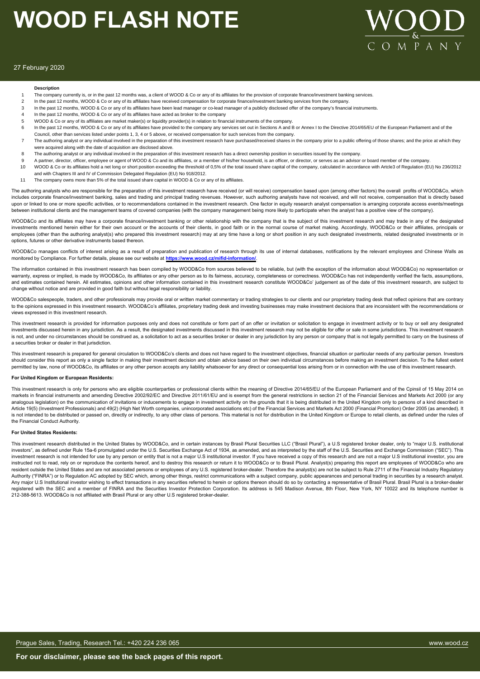

### 27 February 2020

### **Description**

- The company currently is, or in the past 12 months was, a client of WOOD & Co or any of its affiliates for the provision of corporate finance/investment banking services.
- 2 In the past 12 months, WOOD & Co or any of its affiliates have received compensation for corporate finance/investment banking services from the company
- 3 In the past 12 months, WOOD & Co or any of its affiliates have been lead manager or co-lead manager of a publicly disclosed offer of the company's financial instruments.
- 4 In the past 12 months, WOOD & Co or any of its affiliates have acted as broker to the company
- 5 WOOD & Co or any of its affiliates are market maker(s) or liquidity provider(s) in relation to financial instruments of the company.
- 6 In the past 12 months, WOOD & Co or any of its affiliates have provided to the company any services set out in Sections A and B or Annex I to the Directive 2014/65/EU of the European Parliament and of the
- Council, other than services listed under points 1, 3, 4 or 5 above, or received compensation for such services from the company. The authoring analyst or any individual involved in the preparation of this investment research have purchased/received shares in the company prior to a public offering of those shares; and the price at which they were acquired along with the date of acquisition are disclosed above.
- 8 The authoring analyst or any individual involved in the preparation of this investment research has a direct ownership position in securities issued by the company.
- 9 A partner, director, officer, employee or agent of WOOD & Co and its affiliates, or a member of this/her household, is an officer, or director, or serves as an advisor or board member of the company.
- 10 WOOD & Co or its affiliates hold a net long or short position exceeding the threshold of 0,5% of the total issued share capital of the company, calculated in accordance with Artcle3 of Regulation (EU) No 236/2012 and with Chapters III and IV of Commission Delegated Regulation (EU) No 918/2012.
- 11 The company owns more than 5% of the total issued share capital in WOOD & Co or any of its affiliates.

The authoring analysts who are responsible for the preparation of this investment research have received (or will receive) compensation based upon (among other factors) the overall profits of WOOD&Co, which includes corporate finance/investment banking, sales and trading and principal trading revenues. However, such authoring analysts have not received, and will not receive, compensation that is directly based upon or linked to one or more specific activities, or to recommendations contained in the investment research. One factor in equity research analyst compensation is arranging corporate access events/meetings een institutional clients and the management teams of covered companies (with the company management being more likely to participate when the analyst has a positive view of the company).

WOOD&Co and its affiliates may have a corporate finance/investment banking or other relationship with the company that is the subject of this investment research and may trade in any of the designated investments mentioned herein either for their own account or the accounts of their clients, in good faith or in the normal course of market making. Accordingly, WOOD&Co or their affiliates, principals or employees (other than the authoring analyst(s) who prepared this investment research) may at any time have a long or short position in any such designated investments, related designated investments or in options, futures or other derivative instruments based thereon.

WOOD&Co manages conflicts of interest arising as a result of preparation and publication of research through its use of internal databases, notifications by the relevant employees and Chinese Walls as monitored by Compliance. For further details, please see our website at **https://www.wood.cz/mifid-information/**.

The information contained in this investment research has been compiled by WOOD&Co from sources believed to be reliable, but (with the exception of the information about WOOD&Co) no representation or warranty, express or implied, is made by WOOD&Co, its affiliates or any other person as to its fairness, accuracy, completeness or correctness. WOOD&Co has not independently verified the facts, assumptions, and estimates contained herein. All estimates, opinions and other information contained in this investment research constitute WOOD&Co' judgement as of the date of this investment research, are subject to change without notice and are provided in good faith but without legal responsibility or liability.

WOOD&Co salespeople, traders, and other professionals may provide oral or written market commentary or trading strategies to our clients and our proprietary trading desk that reflect opinions that are contrary to the opinions expressed in this investment research. WOOD&Co's affiliates, proprietary trading desk and investing businesses may make investment decisions that are inconsistent with the recommendations or views expressed in this investment research.

This investment research is provided for information purposes only and does not constitute or form part of an offer or invitation or solicitation to engage in investment activity or to buy or sell any designated investments discussed herein in any jurisdiction. As a result, the designated investments discussed in this investment research may not be eligible for offer or sale in some jurisdictions. This investment research is not, and under no circumstances should be construed as, a solicitation to act as a securities broker or dealer in any jurisdiction by any person or company that is not legally permitted to carry on the business of a securities broker or dealer in that jurisdiction.

This investment research is prepared for general circulation to WOOD&Co's clients and does not have regard to the investment objectives, financial situation or particular needs of any particular person. Investors should consider this report as only a single factor in making their investment decision and obtain advice based on their own individual circumstances before making an investment decision. To the fullest extent permitted by law, none of WOOD&Co, its affiliates or any other person accepts any liability whatsoever for any direct or consequential loss arising from or in connection with the use of this investment research.

### **For United Kingdom or European Residents:**

This investment research is only for persons who are eligible counterparties or professional clients within the meaning of Directive 2014/65/EU of the European Parliament and of the Cpinsil of 15 May 2014 on markets in financial instruments and amending Directive 2002/92/EC and Directive 2011/61/EU and is exempt from the general restrictions in section 21 of the Financial Services and Markets Act 2000 (or any analogous legislation) on the communication of invitations or inducements to engage in investment activity on the grounds that it is being distributed in the United Kingdom only to persons of a kind described in Article 19(5) (Investment Professionals) and 49(2) (High Net Worth companies, unincorporated associations etc) of the Financial Services and Markets Act 2000 (Financial Promotion) Order 2005 (as amended). It is not intended to be distributed or passed on, directly or indirectly, to any other class of persons. This material is not for distribution in the United Kingdom or Europe to retail clients, as defined under the rules of the Financial Conduct Authority.

#### **For United States Residents:**

This investment research distributed in the United States by WOOD&Co, and in certain instances by Brasil Plural Securities LLC ("Brasil Plural"), a U.S registered broker dealer, only to "major U.S. institutional investors", as defined under Rule 15a-6 promulgated under the U.S. Securities Exchange Act of 1934, as amended, and as interpreted by the staff of the U.S. Securities and Exchange Commission ("SEC"). This investment research is not intended for use by any person or entity that is not a major U.S institutional investor. If you have received a copy of this research and are not a major U.S institutional investor, you are instructed not to read, rely on or reproduce the contents hereof, and to destroy this research or return it to WOOD&Co or to Brasil Plural. Analyst(s) preparing this report are employees of WOOD&Co who are resident outside the United States and are not associated persons or employees of any U.S. registered broker-dealer. Therefore the analyst(s) are not be subject to Rule 2711 of the Financial Industry Regulatory Authority ("FINRA") or to Regulation AC adopted by SEC which, among other things, restrict communications with a subject company, public appearances and personal trading in securities by a research analyst. Any major U.S Institutional investor wishing to effect transactions in any securities referred to herein or options thereon should do so by contacting a representative of Brasil Plural. Brasil Plural is a broker-dealer registered with the SEC and a member of FINRA and the Securities Investor Protection Corporation. Its address is 545 Madison Avenue, 8th Floor, New York, NY 10022 and its telephone number is 212-388-5613. WOOD&Co is not affiliated with Brasil Plural or any other U.S registered broker-dealer.